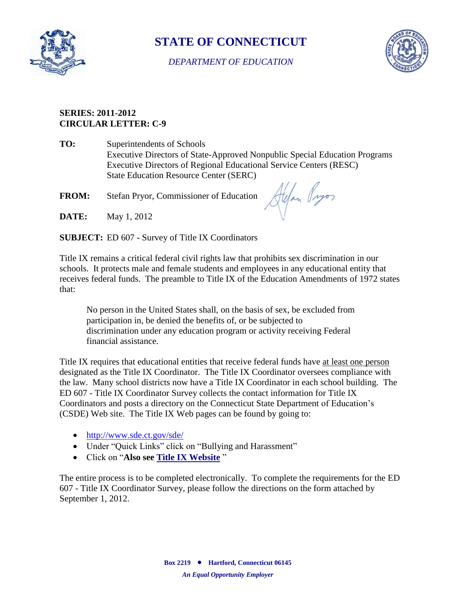

## **STATE OF CONNECTICUT**

*DEPARTMENT OF EDUCATION*



## **SERIES: 2011-2012 CIRCULAR LETTER: C-9**

**TO:** Superintendents of Schools Executive Directors of State-Approved Nonpublic Special Education Programs Executive Directors of Regional Educational Service Centers (RESC) State Education Resource Center (SERC)

**FROM:** Stefan Pryor, Commissioner of Education

Alfan Pryor

**DATE:** May 1, 2012

**SUBJECT:** ED 607 **-** Survey of Title IX Coordinators

Title IX remains a critical federal civil rights law that prohibits sex discrimination in our schools. It protects male and female students and employees in any educational entity that receives federal funds. The preamble to Title IX of the Education Amendments of 1972 states that:

No person in the United States shall, on the basis of sex, be excluded from participation in, be denied the benefits of, or be subjected to discrimination under any education program or activity receiving Federal financial assistance.

Title IX requires that educational entities that receive federal funds have at least one person designated as the Title IX Coordinator. The Title IX Coordinator oversees compliance with the law. Many school districts now have a Title IX Coordinator in each school building. The ED 607 - Title IX Coordinator Survey collects the contact information for Title IX Coordinators and posts a directory on the Connecticut State Department of Education's (CSDE) Web site. The Title IX Web pages can be found by going to:

- <http://www.sde.ct.gov/sde/>
- Under "Quick Links" click on "Bullying and Harassment"
- Click on "**Also see [Title IX Website](http://www.sde.ct.gov/sde/cwp/view.asp?a=2681&q=320472)** "

The entire process is to be completed electronically. To complete the requirements for the ED 607 - Title IX Coordinator Survey, please follow the directions on the form attached by September 1, 2012.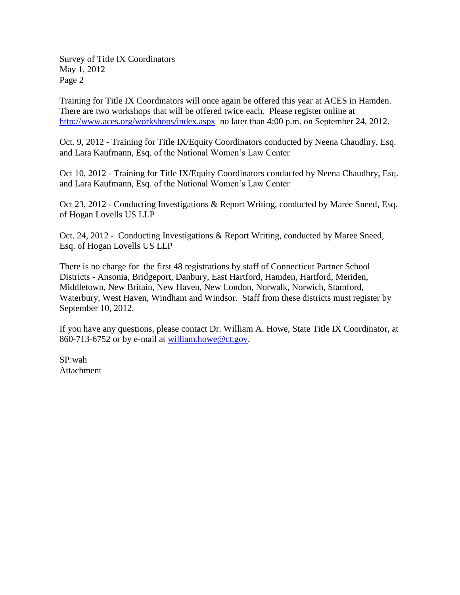Survey of Title IX Coordinators May 1, 2012 Page 2

Training for Title IX Coordinators will once again be offered this year at ACES in Hamden. There are two workshops that will be offered twice each. Please register online at <http://www.aces.org/workshops/index.aspx> no later than 4:00 p.m. on September 24, 2012.

Oct. 9, 2012 - Training for Title IX/Equity Coordinators conducted by Neena Chaudhry, Esq. and Lara Kaufmann, Esq. of the National Women's Law Center

Oct 10, 2012 - Training for Title IX/Equity Coordinators conducted by Neena Chaudhry, Esq. and Lara Kaufmann, Esq. of the National Women's Law Center

Oct 23, 2012 - Conducting Investigations & Report Writing, conducted by Maree Sneed, Esq. of Hogan Lovells US LLP

Oct. 24, 2012 - Conducting Investigations & Report Writing, conducted by Maree Sneed, Esq. of Hogan Lovells US LLP

There is no charge for the first 48 registrations by staff of Connecticut Partner School Districts - Ansonia, Bridgeport, Danbury, East Hartford, Hamden, Hartford, Meriden, Middletown, New Britain, New Haven, New London, Norwalk, Norwich, Stamford, Waterbury, West Haven, Windham and Windsor. Staff from these districts must register by September 10, 2012.

If you have any questions, please contact Dr. William A. Howe, State Title IX Coordinator, at 860-713-6752 or by e-mail at [william.howe@ct.gov.](mailto:william.howe@ct.gov)

SP:wah Attachment